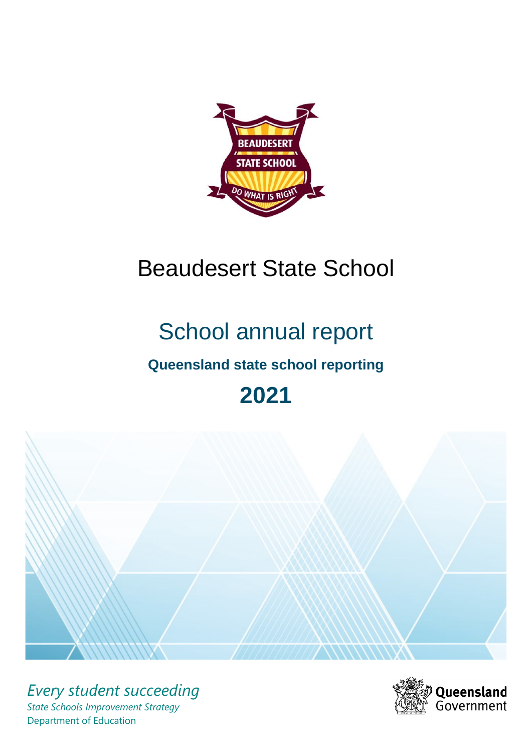

# Beaudesert State School

# School annual report

# **Queensland state school reporting**

# **2021**



*Every student succeeding State Schools Improvement Strategy* Department of Education

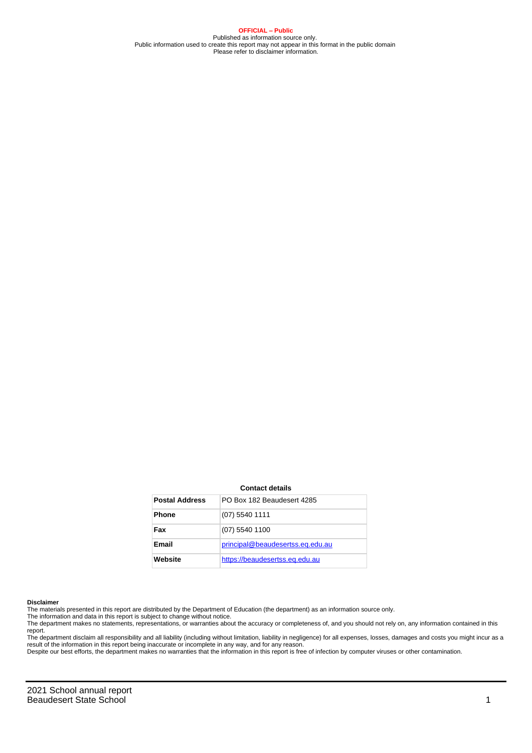**OFFICIAL – Public** Published as information source only. Public information used to create this report may not appear in this format in the public domain Please refer to disclaimer information.

#### **Contact details**

| <b>Postal Address</b> | PO Box 182 Beaudesert 4285       |
|-----------------------|----------------------------------|
| <b>Phone</b>          | $(07)$ 5540 1111                 |
| Fax                   | (07) 5540 1100                   |
| Email                 | principal@beaudesertss.eq.edu.au |
| Website               | https://beaudesertss.eq.edu.au   |

#### **Disclaimer**

The materials presented in this report are distributed by the Department of Education (the department) as an information source only.

The information and data in this report is subject to change without notice.<br>The department makes no statements, representations, or warranties about the accuracy or completeness of, and you should not rely on, any informa report.

The department disclaim all responsibility and all liability (including without limitation, liability in negligence) for all expenses, losses, damages and costs you might incur as a result of the information in this report being inaccurate or incomplete in any way, and for any reason.

Despite our best efforts, the department makes no warranties that the information in this report is free of infection by computer viruses or other contamination.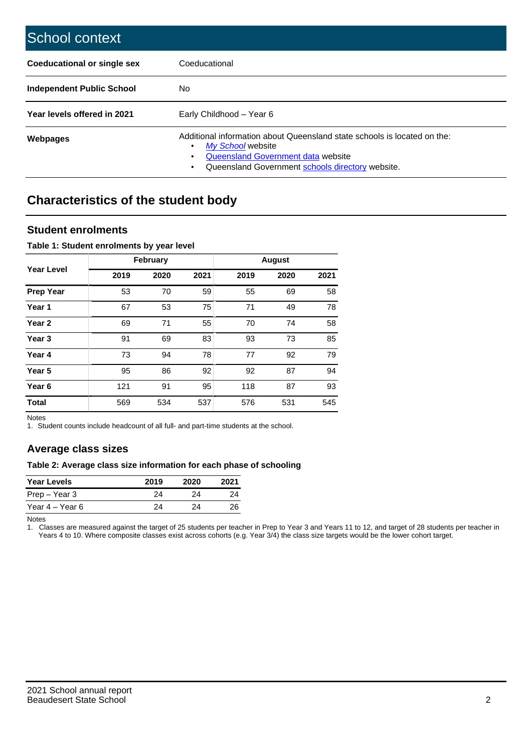| School context                   |                                                                                                                                                                                         |
|----------------------------------|-----------------------------------------------------------------------------------------------------------------------------------------------------------------------------------------|
| Coeducational or single sex      | Coeducational                                                                                                                                                                           |
| <b>Independent Public School</b> | No.                                                                                                                                                                                     |
| Year levels offered in 2021      | Early Childhood - Year 6                                                                                                                                                                |
| Webpages                         | Additional information about Queensland state schools is located on the:<br>My School website<br>Queensland Government data website<br>Queensland Government schools directory website. |

# **Characteristics of the student body**

### **Student enrolments**

#### **Table 1: Student enrolments by year level**

|                   |      | <b>February</b> |      |      | <b>August</b> |      |
|-------------------|------|-----------------|------|------|---------------|------|
| <b>Year Level</b> | 2019 | 2020            | 2021 | 2019 | 2020          | 2021 |
| <b>Prep Year</b>  | 53   | 70              | 59   | 55   | 69            | 58   |
| Year 1            | 67   | 53              | 75   | 71   | 49            | 78   |
| Year 2            | 69   | 71              | 55   | 70   | 74            | 58   |
| Year <sub>3</sub> | 91   | 69              | 83   | 93   | 73            | 85   |
| Year 4            | 73   | 94              | 78   | 77   | 92            | 79   |
| Year <sub>5</sub> | 95   | 86              | 92   | 92   | 87            | 94   |
| Year <sub>6</sub> | 121  | 91              | 95   | 118  | 87            | 93   |
| <b>Total</b>      | 569  | 534             | 537  | 576  | 531           | 545  |

Notes

1. Student counts include headcount of all full- and part-time students at the school.

## **Average class sizes**

#### **Table 2: Average class size information for each phase of schooling**

| <b>Year Levels</b> | 2019 | 2020 | 2021 |
|--------------------|------|------|------|
| Prep – Year 3      | 24   | 24   | 24   |
| Year 4 – Year 6    | 24   | 24   | 26   |

Notes

1. Classes are measured against the target of 25 students per teacher in Prep to Year 3 and Years 11 to 12, and target of 28 students per teacher in Years 4 to 10. Where composite classes exist across cohorts (e.g. Year 3/4) the class size targets would be the lower cohort target.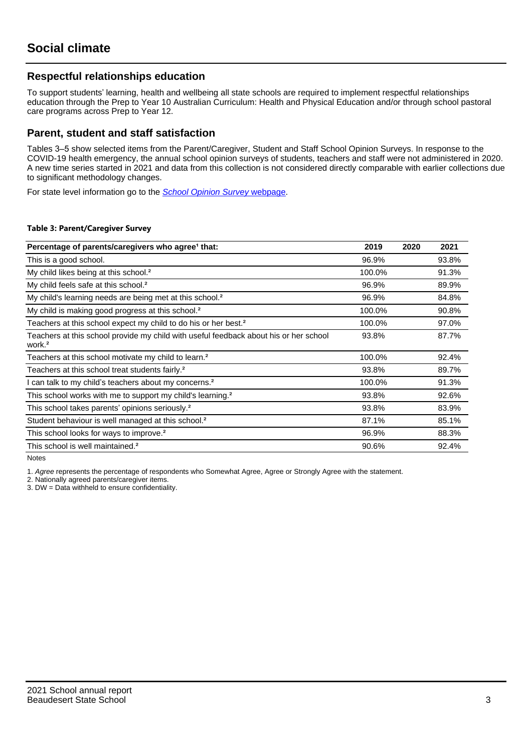## **Respectful relationships education**

To support students' learning, health and wellbeing all state schools are required to implement respectful relationships education through the Prep to Year 10 Australian Curriculum: Health and Physical Education and/or through school pastoral care programs across Prep to Year 12.

### **Parent, student and staff satisfaction**

Tables 3–5 show selected items from the Parent/Caregiver, Student and Staff School Opinion Surveys. In response to the COVID-19 health emergency, the annual school opinion surveys of students, teachers and staff were not administered in 2020. A new time series started in 2021 and data from this collection is not considered directly comparable with earlier collections due to significant methodology changes.

For state level information go to the **[School Opinion Survey](https://qed.qld.gov.au/publications/reports/statistics/schooling/schools/schoolopinionsurvey) webpage**.

#### **Table 3: Parent/Caregiver Survey**

| Percentage of parents/caregivers who agree <sup>1</sup> that:                                               | 2019   | 2020 | 2021  |
|-------------------------------------------------------------------------------------------------------------|--------|------|-------|
| This is a good school.                                                                                      | 96.9%  |      | 93.8% |
| My child likes being at this school. <sup>2</sup>                                                           | 100.0% |      | 91.3% |
| My child feels safe at this school. <sup>2</sup>                                                            | 96.9%  |      | 89.9% |
| My child's learning needs are being met at this school. <sup>2</sup>                                        | 96.9%  |      | 84.8% |
| My child is making good progress at this school. <sup>2</sup>                                               | 100.0% |      | 90.8% |
| Teachers at this school expect my child to do his or her best. <sup>2</sup>                                 | 100.0% |      | 97.0% |
| Teachers at this school provide my child with useful feedback about his or her school<br>work. <sup>2</sup> | 93.8%  |      | 87.7% |
| Teachers at this school motivate my child to learn. <sup>2</sup>                                            | 100.0% |      | 92.4% |
| Teachers at this school treat students fairly. <sup>2</sup>                                                 | 93.8%  |      | 89.7% |
| I can talk to my child's teachers about my concerns. <sup>2</sup>                                           | 100.0% |      | 91.3% |
| This school works with me to support my child's learning. <sup>2</sup>                                      | 93.8%  |      | 92.6% |
| This school takes parents' opinions seriously. <sup>2</sup>                                                 | 93.8%  |      | 83.9% |
| Student behaviour is well managed at this school. <sup>2</sup>                                              | 87.1%  |      | 85.1% |
| This school looks for ways to improve. <sup>2</sup>                                                         | 96.9%  |      | 88.3% |
| This school is well maintained. <sup>2</sup>                                                                | 90.6%  |      | 92.4% |

Notes

1. Agree represents the percentage of respondents who Somewhat Agree, Agree or Strongly Agree with the statement.

2. Nationally agreed parents/caregiver items.

3. DW = Data withheld to ensure confidentiality.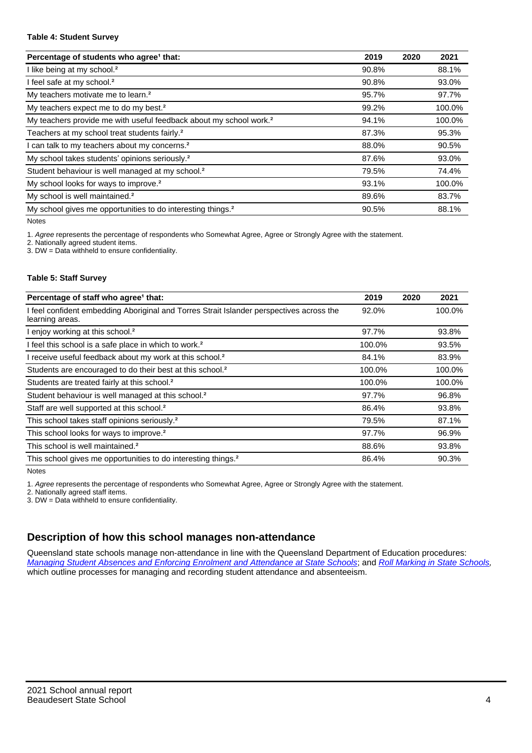#### **Table 4: Student Survey**

| Percentage of students who agree <sup>1</sup> that:                            | 2019  | 2020 | 2021   |
|--------------------------------------------------------------------------------|-------|------|--------|
| I like being at my school. <sup>2</sup>                                        | 90.8% |      | 88.1%  |
| I feel safe at my school. <sup>2</sup>                                         | 90.8% |      | 93.0%  |
| My teachers motivate me to learn. <sup>2</sup>                                 | 95.7% |      | 97.7%  |
| My teachers expect me to do my best. <sup>2</sup>                              | 99.2% |      | 100.0% |
| My teachers provide me with useful feedback about my school work. <sup>2</sup> | 94.1% |      | 100.0% |
| Teachers at my school treat students fairly. <sup>2</sup>                      | 87.3% |      | 95.3%  |
| I can talk to my teachers about my concerns. <sup>2</sup>                      | 88.0% |      | 90.5%  |
| My school takes students' opinions seriously. <sup>2</sup>                     | 87.6% |      | 93.0%  |
| Student behaviour is well managed at my school. <sup>2</sup>                   | 79.5% |      | 74.4%  |
| My school looks for ways to improve. <sup>2</sup>                              | 93.1% |      | 100.0% |
| My school is well maintained. <sup>2</sup>                                     | 89.6% |      | 83.7%  |
| My school gives me opportunities to do interesting things. <sup>2</sup>        | 90.5% |      | 88.1%  |

Notes

1. Agree represents the percentage of respondents who Somewhat Agree, Agree or Strongly Agree with the statement.

2. Nationally agreed student items.

3. DW = Data withheld to ensure confidentiality.

#### **Table 5: Staff Survey**

| Percentage of staff who agree <sup>1</sup> that:                                                            | 2019   | 2020 | 2021   |
|-------------------------------------------------------------------------------------------------------------|--------|------|--------|
| I feel confident embedding Aboriginal and Torres Strait Islander perspectives across the<br>learning areas. | 92.0%  |      | 100.0% |
| I enjoy working at this school. <sup>2</sup>                                                                | 97.7%  |      | 93.8%  |
| I feel this school is a safe place in which to work. <sup>2</sup>                                           | 100.0% |      | 93.5%  |
| I receive useful feedback about my work at this school. <sup>2</sup>                                        | 84.1%  |      | 83.9%  |
| Students are encouraged to do their best at this school. <sup>2</sup>                                       | 100.0% |      | 100.0% |
| Students are treated fairly at this school. <sup>2</sup>                                                    | 100.0% |      | 100.0% |
| Student behaviour is well managed at this school. <sup>2</sup>                                              | 97.7%  |      | 96.8%  |
| Staff are well supported at this school. <sup>2</sup>                                                       | 86.4%  |      | 93.8%  |
| This school takes staff opinions seriously. <sup>2</sup>                                                    | 79.5%  |      | 87.1%  |
| This school looks for ways to improve. <sup>2</sup>                                                         | 97.7%  |      | 96.9%  |
| This school is well maintained. <sup>2</sup>                                                                | 88.6%  |      | 93.8%  |
| This school gives me opportunities to do interesting things. <sup>2</sup>                                   | 86.4%  |      | 90.3%  |

Notes

1. Agree represents the percentage of respondents who Somewhat Agree, Agree or Strongly Agree with the statement.

2. Nationally agreed staff items.

3. DW = Data withheld to ensure confidentiality.

## **Description of how this school manages non-attendance**

Queensland state schools manage non-attendance in line with the Queensland Department of Education procedures: [Managing Student Absences and Enforcing Enrolment and Attendance at State Schools](https://ppr.qed.qld.gov.au/pp/managing-student-absences-and-enforcing-enrolment-and-attendance-at-state-schools-procedure); and [Roll Marking in State Schools,](https://ppr.qed.qld.gov.au/pp/roll-marking-in-state-schools-procedure) which outline processes for managing and recording student attendance and absenteeism.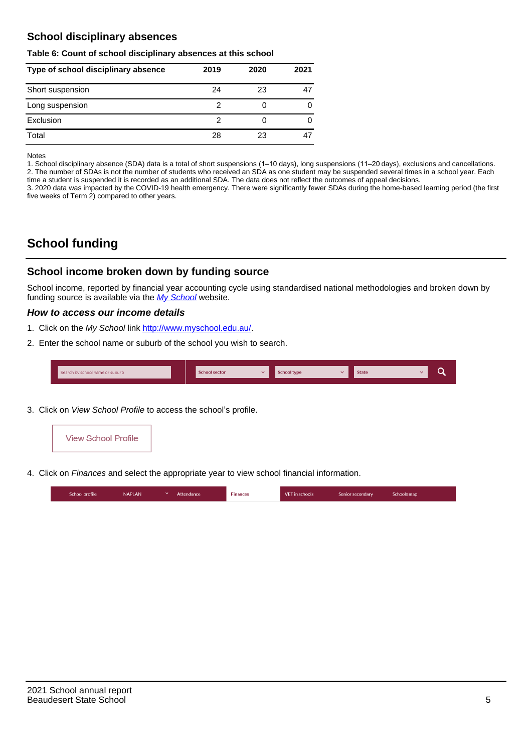## **School disciplinary absences**

#### **Table 6: Count of school disciplinary absences at this school**

| Type of school disciplinary absence | 2019 | 2020 | 2021 |
|-------------------------------------|------|------|------|
| Short suspension                    | 24   | 23   |      |
| Long suspension                     |      |      |      |
| Exclusion                           |      |      | 0    |
| Total                               | 28   | 23   |      |

Notes

1. School disciplinary absence (SDA) data is a total of short suspensions (1–10 days), long suspensions (11–20 days), exclusions and cancellations. 2. The number of SDAs is not the number of students who received an SDA as one student may be suspended several times in a school year. Each time a student is suspended it is recorded as an additional SDA. The data does not reflect the outcomes of appeal decisions.

3. 2020 data was impacted by the COVID-19 health emergency. There were significantly fewer SDAs during the home-based learning period (the first five weeks of Term 2) compared to other years.

# **School funding**

## **School income broken down by funding source**

School income, reported by financial year accounting cycle using standardised national methodologies and broken down by funding source is available via the  $My$  School website.

#### **How to access our income details**

- 1. Click on the My School link <http://www.myschool.edu.au/>.
- 2. Enter the school name or suburb of the school you wish to search.

|  | Search by school name or suburb |  | <b>School sector</b> |  | $\sim$ and $\sim$ represents the set of $\sim$ | <b>State</b> |  |  |  |
|--|---------------------------------|--|----------------------|--|------------------------------------------------|--------------|--|--|--|
|--|---------------------------------|--|----------------------|--|------------------------------------------------|--------------|--|--|--|

3. Click on View School Profile to access the school's profile.



4. Click on Finances and select the appropriate year to view school financial information.

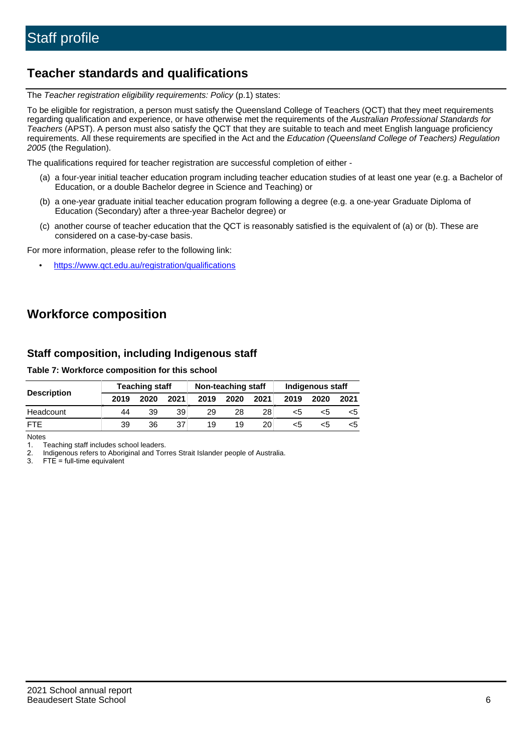## **Teacher standards and qualifications**

The Teacher registration eligibility requirements: Policy (p.1) states:

To be eligible for registration, a person must satisfy the Queensland College of Teachers (QCT) that they meet requirements regarding qualification and experience, or have otherwise met the requirements of the Australian Professional Standards for Teachers (APST). A person must also satisfy the QCT that they are suitable to teach and meet English language proficiency requirements. All these requirements are specified in the Act and the Education (Queensland College of Teachers) Regulation 2005 (the Regulation).

The qualifications required for teacher registration are successful completion of either -

- (a) a four-year initial teacher education program including teacher education studies of at least one year (e.g. a Bachelor of Education, or a double Bachelor degree in Science and Teaching) or
- (b) a one-year graduate initial teacher education program following a degree (e.g. a one-year Graduate Diploma of Education (Secondary) after a three-year Bachelor degree) or
- (c) another course of teacher education that the QCT is reasonably satisfied is the equivalent of (a) or (b). These are considered on a case-by-case basis.

For more information, please refer to the following link:

• <https://www.qct.edu.au/registration/qualifications>

# **Workforce composition**

## **Staff composition, including Indigenous staff**

#### **Table 7: Workforce composition for this school**

|                    | Non-teaching staff<br><b>Teaching staff</b> |      |      |      | Indigenous staff |                 |      |      |      |
|--------------------|---------------------------------------------|------|------|------|------------------|-----------------|------|------|------|
| <b>Description</b> | 2019                                        | 2020 | 2021 | 2019 | 2020             | 2021            | 2019 | 2020 | 2021 |
| Headcount          | 44                                          | 39   | 39   | 29   | 28               | 28              | <5   | <5   |      |
| <b>FTF</b>         | 39                                          | 36   | 37   | 19   | 19               | 20 <sub>1</sub> | <5   | ה>   |      |

Notes

1. Teaching staff includes school leaders.

2. Indigenous refers to Aboriginal and Torres Strait Islander people of Australia.

3. FTE = full-time equivalent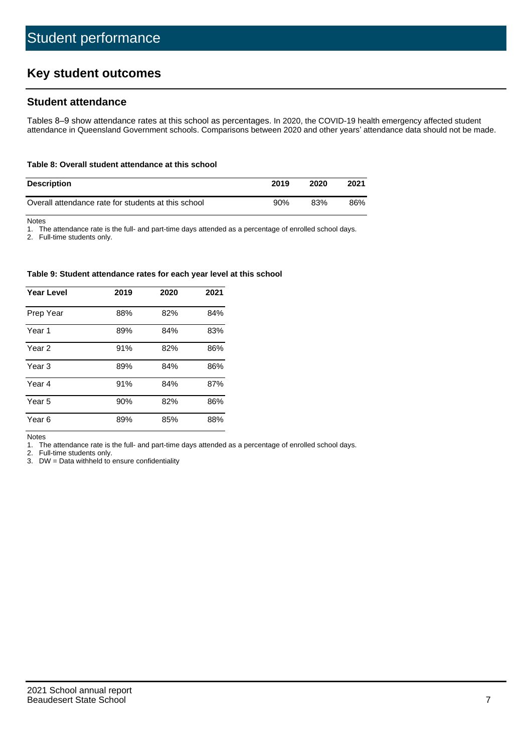# **Key student outcomes**

## **Student attendance**

Tables 8–9 show attendance rates at this school as percentages. In 2020, the COVID-19 health emergency affected student attendance in Queensland Government schools. Comparisons between 2020 and other years' attendance data should not be made.

#### **Table 8: Overall student attendance at this school**

| <b>Description</b>                                  | 2019 | 2020 | 2021 |
|-----------------------------------------------------|------|------|------|
| Overall attendance rate for students at this school | 90%  | 83%  | 86%  |

Notes

1. The attendance rate is the full- and part-time days attended as a percentage of enrolled school days.

2. Full-time students only.

#### **Table 9: Student attendance rates for each year level at this school**

| <b>Year Level</b> | 2019 | 2020 | 2021 |
|-------------------|------|------|------|
| Prep Year         | 88%  | 82%  | 84%  |
| Year <sub>1</sub> | 89%  | 84%  | 83%  |
| Year 2            | 91%  | 82%  | 86%  |
| Year <sub>3</sub> | 89%  | 84%  | 86%  |
| Year 4            | 91%  | 84%  | 87%  |
| Year 5            | 90%  | 82%  | 86%  |
| Year 6            | 89%  | 85%  | 88%  |

Notes

1. The attendance rate is the full- and part-time days attended as a percentage of enrolled school days.

2. Full-time students only.

3. DW = Data withheld to ensure confidentiality